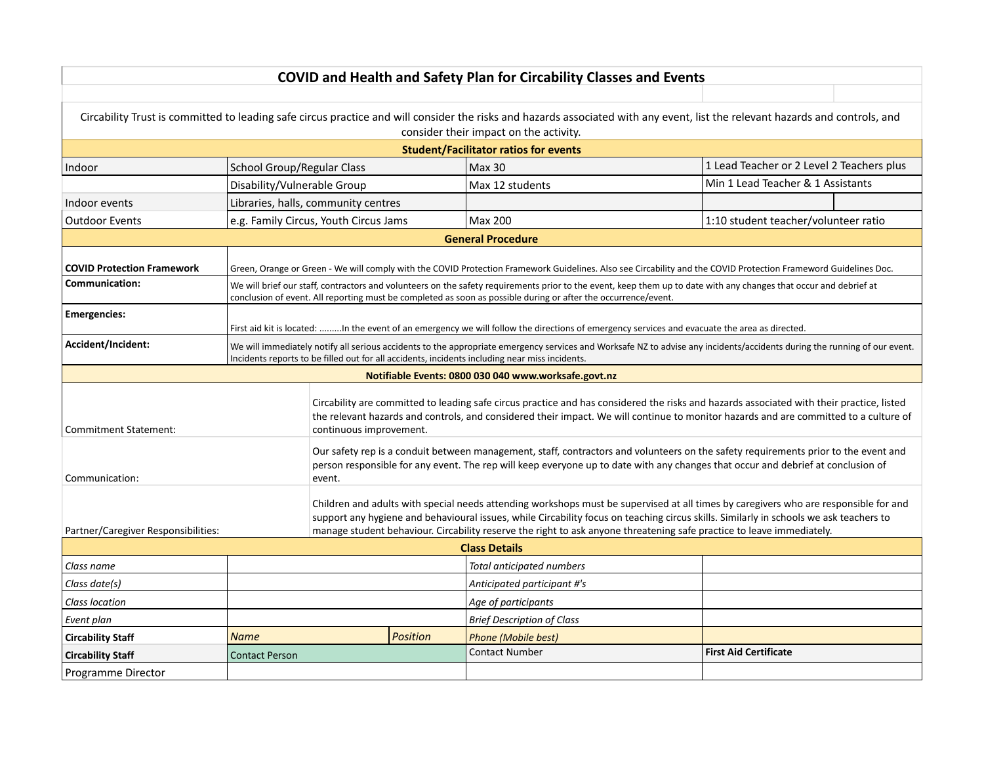|                                     |                                                                                                                                                                                                                                                                                                               |                                                                                                                                               |                 | <b>COVID and Health and Safety Plan for Circability Classes and Events</b>                                                                                                                                                                                                                                                                                                                              |                                           |  |  |
|-------------------------------------|---------------------------------------------------------------------------------------------------------------------------------------------------------------------------------------------------------------------------------------------------------------------------------------------------------------|-----------------------------------------------------------------------------------------------------------------------------------------------|-----------------|---------------------------------------------------------------------------------------------------------------------------------------------------------------------------------------------------------------------------------------------------------------------------------------------------------------------------------------------------------------------------------------------------------|-------------------------------------------|--|--|
|                                     |                                                                                                                                                                                                                                                                                                               |                                                                                                                                               |                 |                                                                                                                                                                                                                                                                                                                                                                                                         |                                           |  |  |
|                                     |                                                                                                                                                                                                                                                                                                               |                                                                                                                                               |                 | Circability Trust is committed to leading safe circus practice and will consider the risks and hazards associated with any event, list the relevant hazards and controls, and<br>consider their impact on the activity.                                                                                                                                                                                 |                                           |  |  |
|                                     |                                                                                                                                                                                                                                                                                                               |                                                                                                                                               |                 | <b>Student/Facilitator ratios for events</b>                                                                                                                                                                                                                                                                                                                                                            |                                           |  |  |
| Indoor                              | School Group/Regular Class                                                                                                                                                                                                                                                                                    |                                                                                                                                               |                 | <b>Max 30</b>                                                                                                                                                                                                                                                                                                                                                                                           | 1 Lead Teacher or 2 Level 2 Teachers plus |  |  |
|                                     | Disability/Vulnerable Group                                                                                                                                                                                                                                                                                   |                                                                                                                                               |                 | Max 12 students                                                                                                                                                                                                                                                                                                                                                                                         | Min 1 Lead Teacher & 1 Assistants         |  |  |
| Indoor events                       |                                                                                                                                                                                                                                                                                                               | Libraries, halls, community centres                                                                                                           |                 |                                                                                                                                                                                                                                                                                                                                                                                                         |                                           |  |  |
| <b>Outdoor Events</b>               |                                                                                                                                                                                                                                                                                                               | e.g. Family Circus, Youth Circus Jams                                                                                                         |                 | Max 200                                                                                                                                                                                                                                                                                                                                                                                                 | 1:10 student teacher/volunteer ratio      |  |  |
|                                     |                                                                                                                                                                                                                                                                                                               |                                                                                                                                               |                 | <b>General Procedure</b>                                                                                                                                                                                                                                                                                                                                                                                |                                           |  |  |
| <b>COVID Protection Framework</b>   |                                                                                                                                                                                                                                                                                                               |                                                                                                                                               |                 | Green, Orange or Green - We will comply with the COVID Protection Framework Guidelines. Also see Circability and the COVID Protection Frameword Guidelines Doc.                                                                                                                                                                                                                                         |                                           |  |  |
| Communication:                      |                                                                                                                                                                                                                                                                                                               |                                                                                                                                               |                 | We will brief our staff, contractors and volunteers on the safety requirements prior to the event, keep them up to date with any changes that occur and debrief at<br>conclusion of event. All reporting must be completed as soon as possible during or after the occurrence/event.                                                                                                                    |                                           |  |  |
| <b>Emergencies:</b>                 |                                                                                                                                                                                                                                                                                                               | First aid kit is located: In the event of an emergency we will follow the directions of emergency services and evacuate the area as directed. |                 |                                                                                                                                                                                                                                                                                                                                                                                                         |                                           |  |  |
| Accident/Incident:                  | We will immediately notify all serious accidents to the appropriate emergency services and Worksafe NZ to advise any incidents/accidents during the running of our event.<br>Incidents reports to be filled out for all accidents, incidents including near miss incidents.                                   |                                                                                                                                               |                 |                                                                                                                                                                                                                                                                                                                                                                                                         |                                           |  |  |
|                                     |                                                                                                                                                                                                                                                                                                               |                                                                                                                                               |                 | Notifiable Events: 0800 030 040 www.worksafe.govt.nz                                                                                                                                                                                                                                                                                                                                                    |                                           |  |  |
| <b>Commitment Statement:</b>        | Circability are committed to leading safe circus practice and has considered the risks and hazards associated with their practice, listed<br>the relevant hazards and controls, and considered their impact. We will continue to monitor hazards and are committed to a culture of<br>continuous improvement. |                                                                                                                                               |                 |                                                                                                                                                                                                                                                                                                                                                                                                         |                                           |  |  |
| Communication:                      |                                                                                                                                                                                                                                                                                                               | event.                                                                                                                                        |                 | Our safety rep is a conduit between management, staff, contractors and volunteers on the safety requirements prior to the event and<br>person responsible for any event. The rep will keep everyone up to date with any changes that occur and debrief at conclusion of                                                                                                                                 |                                           |  |  |
| Partner/Caregiver Responsibilities: |                                                                                                                                                                                                                                                                                                               |                                                                                                                                               |                 | Children and adults with special needs attending workshops must be supervised at all times by caregivers who are responsible for and<br>support any hygiene and behavioural issues, while Circability focus on teaching circus skills. Similarly in schools we ask teachers to<br>manage student behaviour. Circability reserve the right to ask anyone threatening safe practice to leave immediately. |                                           |  |  |
|                                     |                                                                                                                                                                                                                                                                                                               |                                                                                                                                               |                 | <b>Class Details</b>                                                                                                                                                                                                                                                                                                                                                                                    |                                           |  |  |
| Class name                          |                                                                                                                                                                                                                                                                                                               |                                                                                                                                               |                 | Total anticipated numbers                                                                                                                                                                                                                                                                                                                                                                               |                                           |  |  |
| Class date(s)                       |                                                                                                                                                                                                                                                                                                               |                                                                                                                                               |                 | Anticipated participant #'s                                                                                                                                                                                                                                                                                                                                                                             |                                           |  |  |
| Class location                      |                                                                                                                                                                                                                                                                                                               |                                                                                                                                               |                 | Age of participants                                                                                                                                                                                                                                                                                                                                                                                     |                                           |  |  |
| Event plan                          |                                                                                                                                                                                                                                                                                                               |                                                                                                                                               |                 | <b>Brief Description of Class</b>                                                                                                                                                                                                                                                                                                                                                                       |                                           |  |  |
| <b>Circability Staff</b>            | <b>Name</b>                                                                                                                                                                                                                                                                                                   |                                                                                                                                               | <b>Position</b> | <b>Phone (Mobile best)</b>                                                                                                                                                                                                                                                                                                                                                                              |                                           |  |  |
| <b>Circability Staff</b>            | <b>Contact Person</b>                                                                                                                                                                                                                                                                                         |                                                                                                                                               |                 | <b>Contact Number</b>                                                                                                                                                                                                                                                                                                                                                                                   | <b>First Aid Certificate</b>              |  |  |
| Programme Director                  |                                                                                                                                                                                                                                                                                                               |                                                                                                                                               |                 |                                                                                                                                                                                                                                                                                                                                                                                                         |                                           |  |  |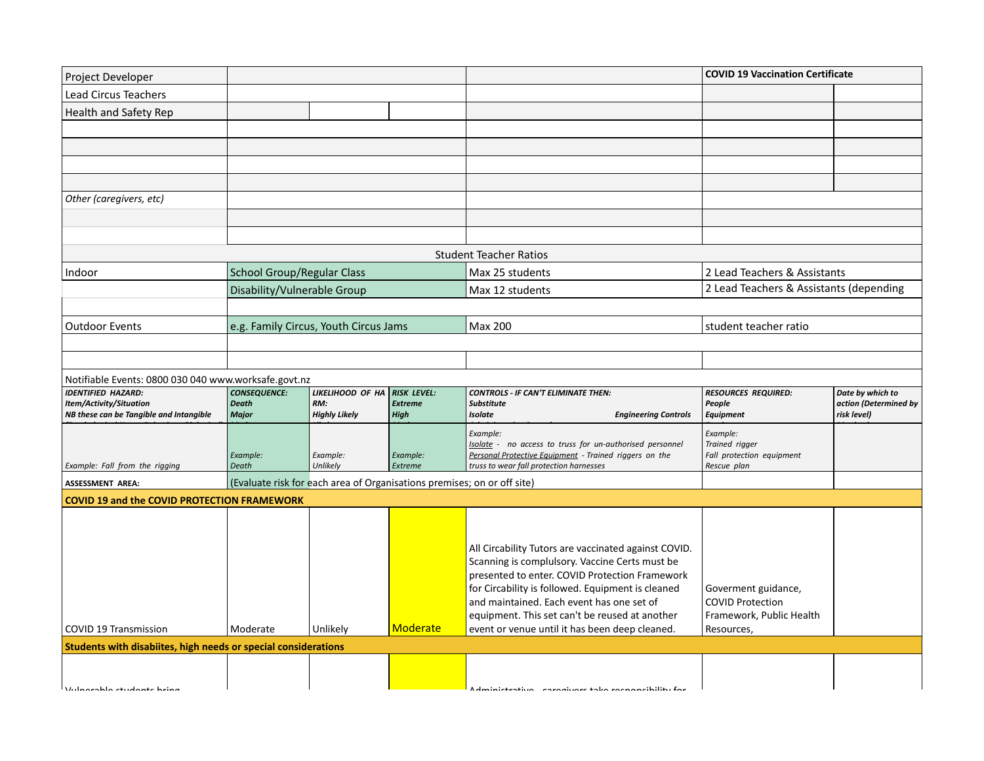|                                                                |                                                                                |                                                                                                                                             | Max 25 students                                                     |                                                                                                                                                                                                                                                                                                                                           |                                                                                                                                                                                                    |
|----------------------------------------------------------------|--------------------------------------------------------------------------------|---------------------------------------------------------------------------------------------------------------------------------------------|---------------------------------------------------------------------|-------------------------------------------------------------------------------------------------------------------------------------------------------------------------------------------------------------------------------------------------------------------------------------------------------------------------------------------|----------------------------------------------------------------------------------------------------------------------------------------------------------------------------------------------------|
|                                                                |                                                                                |                                                                                                                                             | Max 12 students                                                     |                                                                                                                                                                                                                                                                                                                                           |                                                                                                                                                                                                    |
|                                                                |                                                                                |                                                                                                                                             |                                                                     |                                                                                                                                                                                                                                                                                                                                           |                                                                                                                                                                                                    |
|                                                                |                                                                                |                                                                                                                                             | Max 200                                                             | student teacher ratio                                                                                                                                                                                                                                                                                                                     |                                                                                                                                                                                                    |
|                                                                |                                                                                |                                                                                                                                             |                                                                     |                                                                                                                                                                                                                                                                                                                                           |                                                                                                                                                                                                    |
|                                                                |                                                                                |                                                                                                                                             |                                                                     |                                                                                                                                                                                                                                                                                                                                           |                                                                                                                                                                                                    |
|                                                                |                                                                                |                                                                                                                                             |                                                                     |                                                                                                                                                                                                                                                                                                                                           |                                                                                                                                                                                                    |
| <b>CONSEQUENCE:</b>                                            | LIKELIHOOD OF HA                                                               | <b>RISK LEVEL:</b>                                                                                                                          | <b>CONTROLS - IF CAN'T ELIMINATE THEN:</b>                          | <b>RESOURCES REQUIRED:</b>                                                                                                                                                                                                                                                                                                                | Date by which to                                                                                                                                                                                   |
| <b>Major</b>                                                   | <b>Highly Likely</b>                                                           | <b>High</b>                                                                                                                                 | <b>Isolate</b><br><b>Engineering Controls</b>                       | <b>Equipment</b>                                                                                                                                                                                                                                                                                                                          | action (Determined by<br>risk level)                                                                                                                                                               |
|                                                                |                                                                                |                                                                                                                                             | Example:                                                            | Example:                                                                                                                                                                                                                                                                                                                                  |                                                                                                                                                                                                    |
|                                                                |                                                                                |                                                                                                                                             | Isolate - no access to truss for un-authorised personnel            |                                                                                                                                                                                                                                                                                                                                           |                                                                                                                                                                                                    |
| Death                                                          | Unlikely                                                                       | Extreme                                                                                                                                     | truss to wear fall protection harnesses                             | Rescue plan                                                                                                                                                                                                                                                                                                                               |                                                                                                                                                                                                    |
|                                                                |                                                                                |                                                                                                                                             |                                                                     |                                                                                                                                                                                                                                                                                                                                           |                                                                                                                                                                                                    |
|                                                                |                                                                                |                                                                                                                                             |                                                                     |                                                                                                                                                                                                                                                                                                                                           |                                                                                                                                                                                                    |
|                                                                |                                                                                |                                                                                                                                             |                                                                     |                                                                                                                                                                                                                                                                                                                                           |                                                                                                                                                                                                    |
|                                                                |                                                                                |                                                                                                                                             |                                                                     |                                                                                                                                                                                                                                                                                                                                           |                                                                                                                                                                                                    |
|                                                                |                                                                                |                                                                                                                                             | All Circability Tutors are vaccinated against COVID.                |                                                                                                                                                                                                                                                                                                                                           |                                                                                                                                                                                                    |
|                                                                |                                                                                |                                                                                                                                             |                                                                     |                                                                                                                                                                                                                                                                                                                                           |                                                                                                                                                                                                    |
|                                                                |                                                                                |                                                                                                                                             |                                                                     |                                                                                                                                                                                                                                                                                                                                           |                                                                                                                                                                                                    |
|                                                                |                                                                                |                                                                                                                                             | and maintained. Each event has one set of                           | <b>COVID Protection</b>                                                                                                                                                                                                                                                                                                                   |                                                                                                                                                                                                    |
|                                                                |                                                                                |                                                                                                                                             |                                                                     |                                                                                                                                                                                                                                                                                                                                           |                                                                                                                                                                                                    |
|                                                                |                                                                                |                                                                                                                                             | equipment. This set can't be reused at another                      | Framework, Public Health                                                                                                                                                                                                                                                                                                                  |                                                                                                                                                                                                    |
| Moderate                                                       | Unlikely                                                                       | <b>Moderate</b>                                                                                                                             | event or venue until it has been deep cleaned.                      | Resources,                                                                                                                                                                                                                                                                                                                                |                                                                                                                                                                                                    |
| Students with disabiites, high needs or special considerations |                                                                                |                                                                                                                                             |                                                                     |                                                                                                                                                                                                                                                                                                                                           |                                                                                                                                                                                                    |
|                                                                |                                                                                |                                                                                                                                             |                                                                     |                                                                                                                                                                                                                                                                                                                                           |                                                                                                                                                                                                    |
|                                                                | <b>Death</b><br>Example:<br><b>COVID 19 and the COVID PROTECTION FRAMEWORK</b> | <b>School Group/Regular Class</b><br>Disability/Vulnerable Group<br>Notifiable Events: 0800 030 040 www.worksafe.govt.nz<br>RM:<br>Example: | e.g. Family Circus, Youth Circus Jams<br><b>Extreme</b><br>Example: | <b>Student Teacher Ratios</b><br>Substitute<br>Personal Protective Equipment - Trained riggers on the<br>(Evaluate risk for each area of Organisations premises; on or off site)<br>Scanning is complulsory. Vaccine Certs must be<br>presented to enter. COVID Protection Framework<br>for Circability is followed. Equipment is cleaned | <b>COVID 19 Vaccination Certificate</b><br>2 Lead Teachers & Assistants<br>2 Lead Teachers & Assistants (depending<br>People<br>Trained rigger<br>Fall protection equipment<br>Goverment guidance, |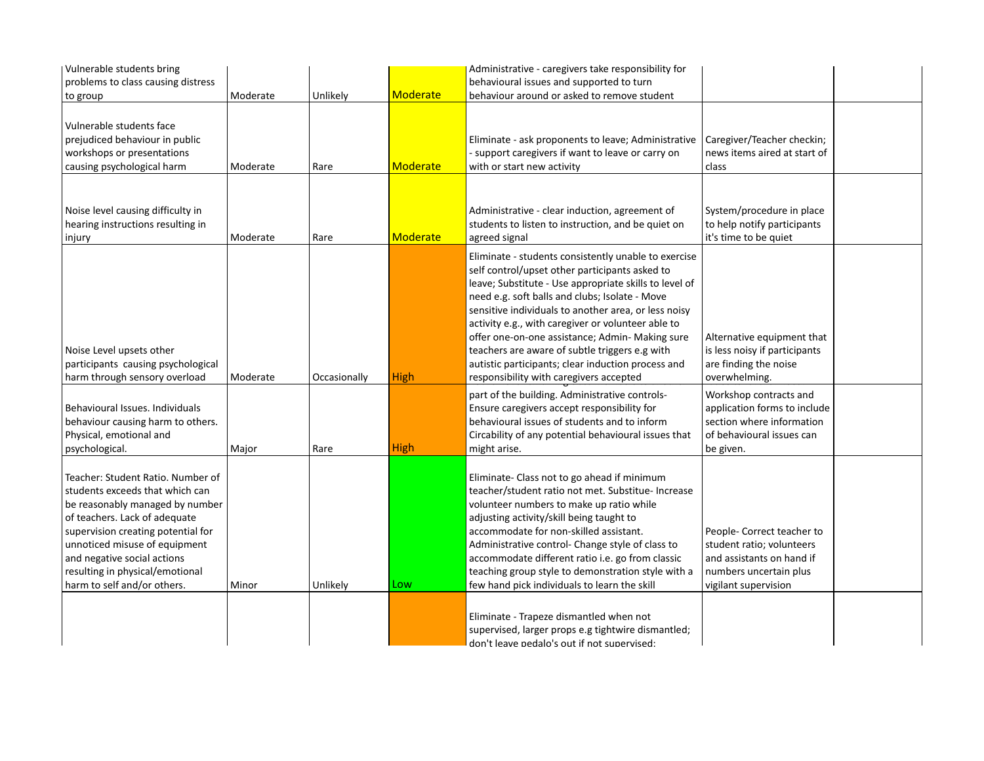| Vulnerable students bring          |          |              |                 | Administrative - caregivers take responsibility for    |                               |  |
|------------------------------------|----------|--------------|-----------------|--------------------------------------------------------|-------------------------------|--|
| problems to class causing distress |          |              |                 | behavioural issues and supported to turn               |                               |  |
| to group                           | Moderate | Unlikely     | <b>Moderate</b> | behaviour around or asked to remove student            |                               |  |
|                                    |          |              |                 |                                                        |                               |  |
| Vulnerable students face           |          |              |                 |                                                        |                               |  |
| prejudiced behaviour in public     |          |              |                 | Eliminate - ask proponents to leave; Administrative    | Caregiver/Teacher checkin;    |  |
| workshops or presentations         |          |              |                 | - support caregivers if want to leave or carry on      | news items aired at start of  |  |
| causing psychological harm         | Moderate | Rare         | <b>Moderate</b> | with or start new activity                             | class                         |  |
|                                    |          |              |                 |                                                        |                               |  |
|                                    |          |              |                 |                                                        |                               |  |
|                                    |          |              |                 |                                                        |                               |  |
| Noise level causing difficulty in  |          |              |                 | Administrative - clear induction, agreement of         | System/procedure in place     |  |
| hearing instructions resulting in  |          |              |                 | students to listen to instruction, and be quiet on     | to help notify participants   |  |
| injury                             | Moderate | Rare         | <b>Moderate</b> | agreed signal                                          | it's time to be quiet         |  |
|                                    |          |              |                 | Eliminate - students consistently unable to exercise   |                               |  |
|                                    |          |              |                 | self control/upset other participants asked to         |                               |  |
|                                    |          |              |                 | leave; Substitute - Use appropriate skills to level of |                               |  |
|                                    |          |              |                 | need e.g. soft balls and clubs; Isolate - Move         |                               |  |
|                                    |          |              |                 | sensitive individuals to another area, or less noisy   |                               |  |
|                                    |          |              |                 | activity e.g., with caregiver or volunteer able to     |                               |  |
|                                    |          |              |                 | offer one-on-one assistance; Admin- Making sure        | Alternative equipment that    |  |
| Noise Level upsets other           |          |              |                 | teachers are aware of subtle triggers e.g with         | is less noisy if participants |  |
| participants causing psychological |          |              |                 | autistic participants; clear induction process and     | are finding the noise         |  |
| harm through sensory overload      | Moderate | Occasionally | <b>High</b>     | responsibility with caregivers accepted                | overwhelming.                 |  |
|                                    |          |              |                 |                                                        |                               |  |
|                                    |          |              |                 | part of the building. Administrative controls-         | Workshop contracts and        |  |
| Behavioural Issues. Individuals    |          |              |                 | Ensure caregivers accept responsibility for            | application forms to include  |  |
| behaviour causing harm to others.  |          |              |                 | behavioural issues of students and to inform           | section where information     |  |
| Physical, emotional and            |          |              |                 | Circability of any potential behavioural issues that   | of behavioural issues can     |  |
| psychological.                     | Major    | Rare         | <b>High</b>     | might arise.                                           | be given.                     |  |
|                                    |          |              |                 |                                                        |                               |  |
| Teacher: Student Ratio. Number of  |          |              |                 | Eliminate- Class not to go ahead if minimum            |                               |  |
| students exceeds that which can    |          |              |                 | teacher/student ratio not met. Substitue- Increase     |                               |  |
| be reasonably managed by number    |          |              |                 | volunteer numbers to make up ratio while               |                               |  |
| of teachers. Lack of adequate      |          |              |                 | adjusting activity/skill being taught to               |                               |  |
| supervision creating potential for |          |              |                 | accommodate for non-skilled assistant.                 | People- Correct teacher to    |  |
| unnoticed misuse of equipment      |          |              |                 | Administrative control- Change style of class to       | student ratio; volunteers     |  |
| and negative social actions        |          |              |                 | accommodate different ratio i.e. go from classic       | and assistants on hand if     |  |
| resulting in physical/emotional    |          |              |                 | teaching group style to demonstration style with a     | numbers uncertain plus        |  |
| harm to self and/or others.        | Minor    | Unlikely     | Low             | few hand pick individuals to learn the skill           | vigilant supervision          |  |
|                                    |          |              |                 |                                                        |                               |  |
|                                    |          |              |                 | Eliminate - Trapeze dismantled when not                |                               |  |
|                                    |          |              |                 | supervised, larger props e.g tightwire dismantled;     |                               |  |
|                                    |          |              |                 | don't leave pedalo's out if not supervised:            |                               |  |
|                                    |          |              |                 |                                                        |                               |  |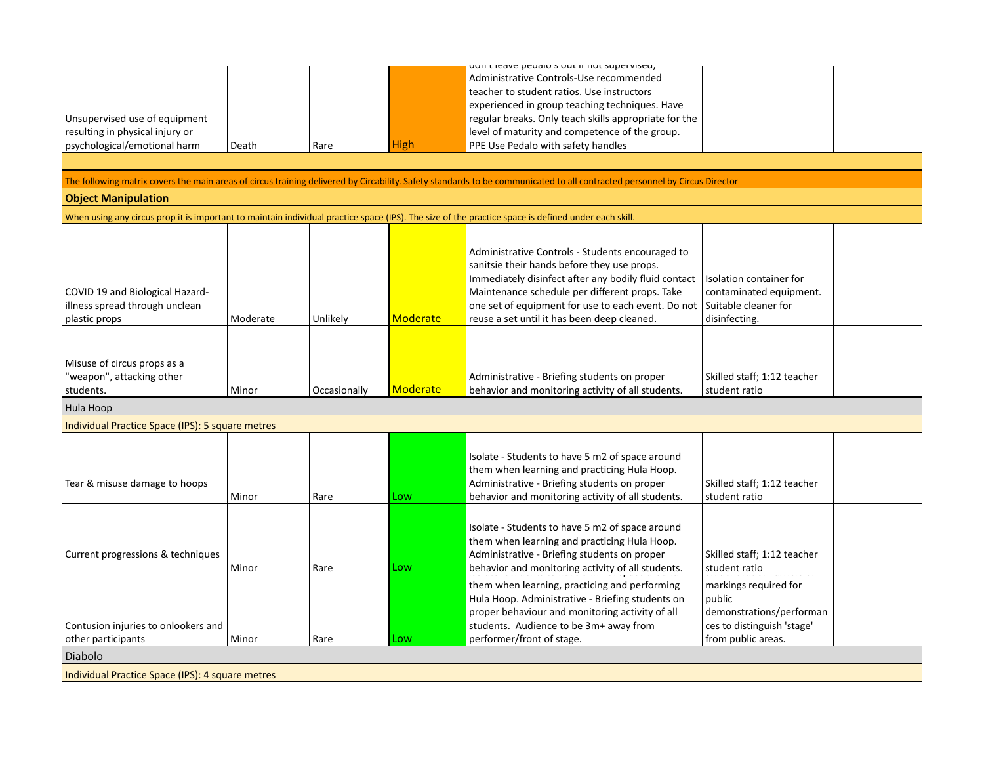|                                                  |          |              |                 | uon theave peualo siouth not supervised,                                                                                                                                   |                                                  |
|--------------------------------------------------|----------|--------------|-----------------|----------------------------------------------------------------------------------------------------------------------------------------------------------------------------|--------------------------------------------------|
|                                                  |          |              |                 | Administrative Controls-Use recommended                                                                                                                                    |                                                  |
|                                                  |          |              |                 | teacher to student ratios. Use instructors                                                                                                                                 |                                                  |
|                                                  |          |              |                 | experienced in group teaching techniques. Have                                                                                                                             |                                                  |
| Unsupervised use of equipment                    |          |              |                 | regular breaks. Only teach skills appropriate for the                                                                                                                      |                                                  |
| resulting in physical injury or                  |          |              |                 | level of maturity and competence of the group.                                                                                                                             |                                                  |
| psychological/emotional harm                     | Death    | Rare         | High            | PPE Use Pedalo with safety handles                                                                                                                                         |                                                  |
|                                                  |          |              |                 |                                                                                                                                                                            |                                                  |
|                                                  |          |              |                 |                                                                                                                                                                            |                                                  |
|                                                  |          |              |                 | The following matrix covers the main areas of circus training delivered by Circability. Safety standards to be communicated to all contracted personnel by Circus Director |                                                  |
| <b>Object Manipulation</b>                       |          |              |                 |                                                                                                                                                                            |                                                  |
|                                                  |          |              |                 | When using any circus prop it is important to maintain individual practice space (IPS). The size of the practice space is defined under each skill.                        |                                                  |
|                                                  |          |              |                 |                                                                                                                                                                            |                                                  |
|                                                  |          |              |                 | Administrative Controls - Students encouraged to                                                                                                                           |                                                  |
|                                                  |          |              |                 | sanitsie their hands before they use props.                                                                                                                                |                                                  |
|                                                  |          |              |                 | Immediately disinfect after any bodily fluid contact                                                                                                                       | Isolation container for                          |
| COVID 19 and Biological Hazard-                  |          |              |                 | Maintenance schedule per different props. Take                                                                                                                             | contaminated equipment.                          |
| illness spread through unclean                   |          |              |                 | one set of equipment for use to each event. Do not                                                                                                                         | Suitable cleaner for                             |
| plastic props                                    | Moderate | Unlikely     | Moderate        | reuse a set until it has been deep cleaned.                                                                                                                                | disinfecting.                                    |
|                                                  |          |              |                 |                                                                                                                                                                            |                                                  |
|                                                  |          |              |                 |                                                                                                                                                                            |                                                  |
|                                                  |          |              |                 |                                                                                                                                                                            |                                                  |
| Misuse of circus props as a                      |          |              |                 |                                                                                                                                                                            |                                                  |
| "weapon", attacking other                        | Minor    |              | <b>Moderate</b> | Administrative - Briefing students on proper<br>behavior and monitoring activity of all students.                                                                          | Skilled staff; 1:12 teacher<br>student ratio     |
| students.                                        |          | Occasionally |                 |                                                                                                                                                                            |                                                  |
| Hula Hoop                                        |          |              |                 |                                                                                                                                                                            |                                                  |
| Individual Practice Space (IPS): 5 square metres |          |              |                 |                                                                                                                                                                            |                                                  |
|                                                  |          |              |                 |                                                                                                                                                                            |                                                  |
|                                                  |          |              |                 | Isolate - Students to have 5 m2 of space around                                                                                                                            |                                                  |
|                                                  |          |              |                 | them when learning and practicing Hula Hoop.                                                                                                                               |                                                  |
| Tear & misuse damage to hoops                    |          |              |                 | Administrative - Briefing students on proper                                                                                                                               | Skilled staff; 1:12 teacher                      |
|                                                  | Minor    | Rare         | Low             | behavior and monitoring activity of all students.                                                                                                                          | student ratio                                    |
|                                                  |          |              |                 |                                                                                                                                                                            |                                                  |
|                                                  |          |              |                 | Isolate - Students to have 5 m2 of space around                                                                                                                            |                                                  |
|                                                  |          |              |                 | them when learning and practicing Hula Hoop.                                                                                                                               |                                                  |
| Current progressions & techniques                |          |              |                 | Administrative - Briefing students on proper                                                                                                                               | Skilled staff; 1:12 teacher                      |
|                                                  | Minor    | Rare         | Low             | behavior and monitoring activity of all students.                                                                                                                          | student ratio                                    |
|                                                  |          |              |                 | them when learning, practicing and performing                                                                                                                              | markings required for                            |
|                                                  |          |              |                 | Hula Hoop. Administrative - Briefing students on                                                                                                                           | public                                           |
|                                                  |          |              |                 | proper behaviour and monitoring activity of all                                                                                                                            |                                                  |
|                                                  |          |              |                 |                                                                                                                                                                            | demonstrations/performan                         |
| Contusion injuries to onlookers and              | Minor    | Rare         | Low             | students. Audience to be 3m+ away from<br>performer/front of stage.                                                                                                        | ces to distinguish 'stage'<br>from public areas. |
| other participants                               |          |              |                 |                                                                                                                                                                            |                                                  |
| Diabolo                                          |          |              |                 |                                                                                                                                                                            |                                                  |
| Individual Practice Space (IPS): 4 square metres |          |              |                 |                                                                                                                                                                            |                                                  |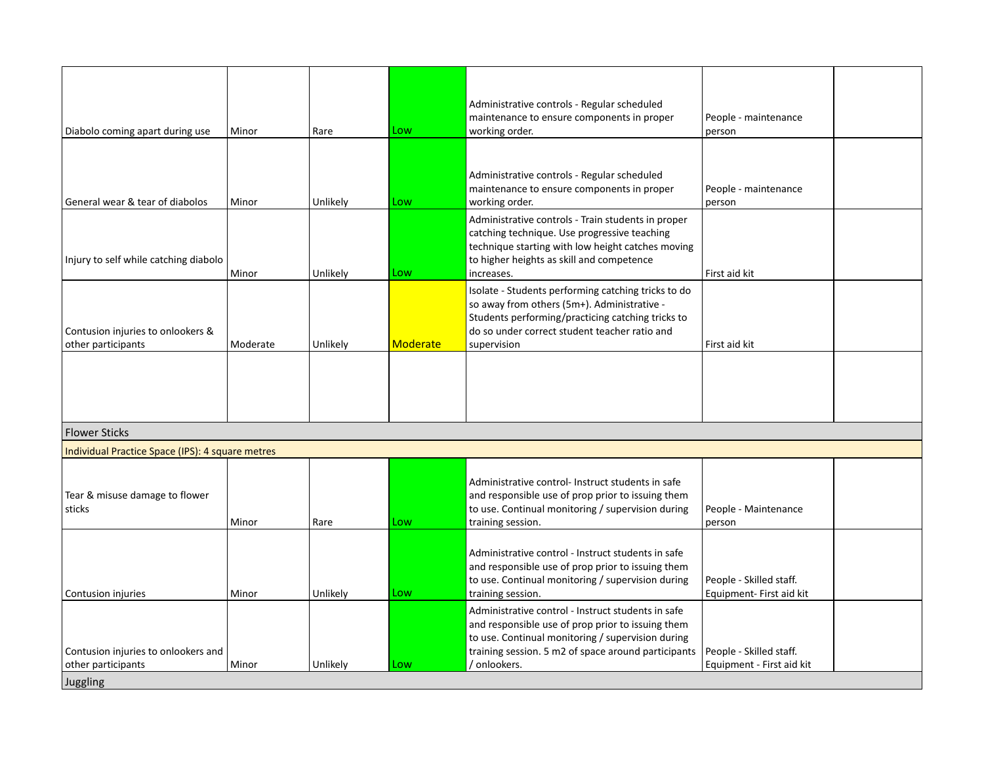| Diabolo coming apart during use                         | Minor    | Rare     | Low      | Administrative controls - Regular scheduled<br>maintenance to ensure components in proper<br>working order.                                                                                                             | People - maintenance<br>person |  |
|---------------------------------------------------------|----------|----------|----------|-------------------------------------------------------------------------------------------------------------------------------------------------------------------------------------------------------------------------|--------------------------------|--|
|                                                         |          |          |          | Administrative controls - Regular scheduled<br>maintenance to ensure components in proper                                                                                                                               | People - maintenance           |  |
| General wear & tear of diabolos                         | Minor    | Unlikely | Low      | working order.                                                                                                                                                                                                          | person                         |  |
| Injury to self while catching diabolo                   | Minor    | Unlikely | Low      | Administrative controls - Train students in proper<br>catching technique. Use progressive teaching<br>technique starting with low height catches moving<br>to higher heights as skill and competence<br>increases.      | First aid kit                  |  |
| Contusion injuries to onlookers &<br>other participants | Moderate | Unlikely | Moderate | Isolate - Students performing catching tricks to do<br>so away from others (5m+). Administrative -<br>Students performing/practicing catching tricks to<br>do so under correct student teacher ratio and<br>supervision | First aid kit                  |  |
|                                                         |          |          |          |                                                                                                                                                                                                                         |                                |  |
| <b>Flower Sticks</b>                                    |          |          |          |                                                                                                                                                                                                                         |                                |  |
| Individual Drastice Conce (IDC), A country motros       |          |          |          |                                                                                                                                                                                                                         |                                |  |

| Tindividual Practice Space (IPS): 4 square metres         |       |          |     |                                                                                                                                                                                                                                     |                                                      |  |
|-----------------------------------------------------------|-------|----------|-----|-------------------------------------------------------------------------------------------------------------------------------------------------------------------------------------------------------------------------------------|------------------------------------------------------|--|
| Tear & misuse damage to flower<br>sticks                  | Minor | Rare     | Low | Administrative control- Instruct students in safe<br>and responsible use of prop prior to issuing them<br>to use. Continual monitoring / supervision during<br>training session.                                                    | People - Maintenance<br>person                       |  |
| Contusion injuries                                        | Minor | Unlikely | Low | Administrative control - Instruct students in safe<br>and responsible use of prop prior to issuing them<br>to use. Continual monitoring / supervision during<br>training session.                                                   | People - Skilled staff.<br>Equipment- First aid kit  |  |
| Contusion injuries to onlookers and<br>other participants | Minor | Unlikely | Low | Administrative control - Instruct students in safe<br>and responsible use of prop prior to issuing them<br>to use. Continual monitoring / supervision during<br>training session. 5 m2 of space around participants<br>/ onlookers. | People - Skilled staff.<br>Equipment - First aid kit |  |
| Juggling                                                  |       |          |     |                                                                                                                                                                                                                                     |                                                      |  |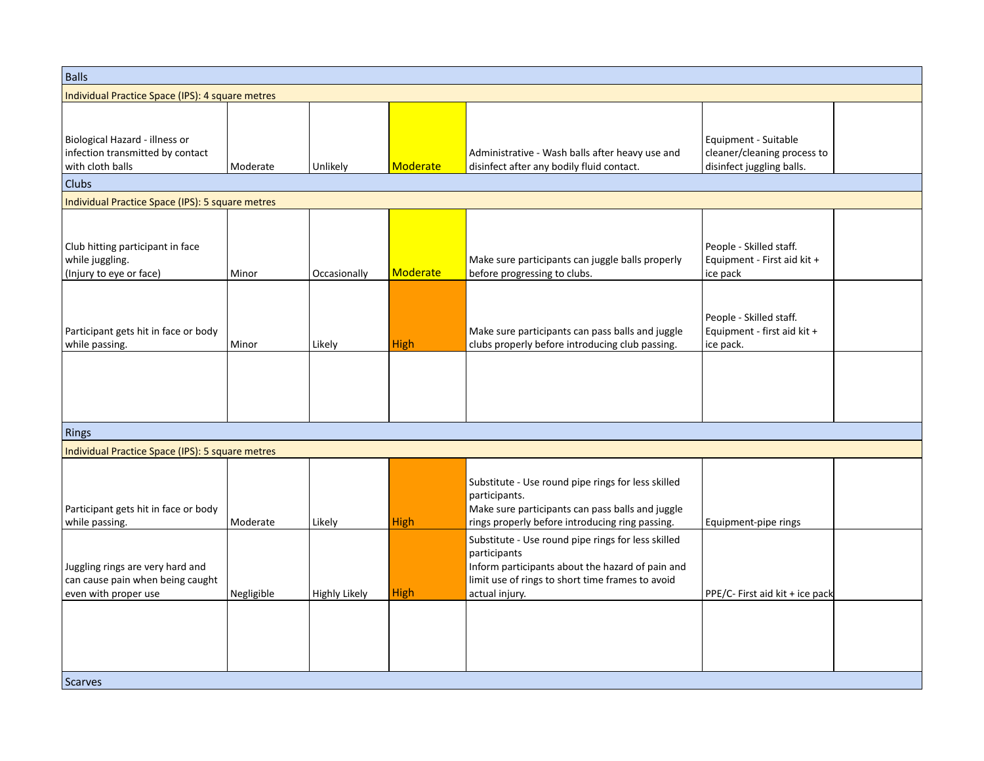| <b>Balls</b>                                                                                 |            |                      |                 |                                                                                                                                                                                              |                                                                                  |
|----------------------------------------------------------------------------------------------|------------|----------------------|-----------------|----------------------------------------------------------------------------------------------------------------------------------------------------------------------------------------------|----------------------------------------------------------------------------------|
| Individual Practice Space (IPS): 4 square metres                                             |            |                      |                 |                                                                                                                                                                                              |                                                                                  |
| Biological Hazard - illness or<br>infection transmitted by contact<br>with cloth balls       | Moderate   | Unlikely             | <b>Moderate</b> | Administrative - Wash balls after heavy use and<br>disinfect after any bodily fluid contact.                                                                                                 | Equipment - Suitable<br>cleaner/cleaning process to<br>disinfect juggling balls. |
| <b>Clubs</b>                                                                                 |            |                      |                 |                                                                                                                                                                                              |                                                                                  |
| Individual Practice Space (IPS): 5 square metres                                             |            |                      |                 |                                                                                                                                                                                              |                                                                                  |
| Club hitting participant in face<br>while juggling.<br>(Injury to eye or face)               | Minor      | Occasionally         | <b>Moderate</b> | Make sure participants can juggle balls properly<br>before progressing to clubs.                                                                                                             | People - Skilled staff.<br>Equipment - First aid kit +<br>ice pack               |
| Participant gets hit in face or body<br>while passing.                                       | Minor      | Likely               | <b>High</b>     | Make sure participants can pass balls and juggle<br>clubs properly before introducing club passing.                                                                                          | People - Skilled staff.<br>Equipment - first aid kit +<br>ice pack.              |
|                                                                                              |            |                      |                 |                                                                                                                                                                                              |                                                                                  |
| Rings                                                                                        |            |                      |                 |                                                                                                                                                                                              |                                                                                  |
| Individual Practice Space (IPS): 5 square metres                                             |            |                      |                 |                                                                                                                                                                                              |                                                                                  |
| Participant gets hit in face or body<br>while passing.                                       | Moderate   | Likely               | High            | Substitute - Use round pipe rings for less skilled<br>participants.<br>Make sure participants can pass balls and juggle<br>rings properly before introducing ring passing.                   | Equipment-pipe rings                                                             |
| Juggling rings are very hard and<br>can cause pain when being caught<br>even with proper use | Negligible | <b>Highly Likely</b> | <b>High</b>     | Substitute - Use round pipe rings for less skilled<br>participants<br>Inform participants about the hazard of pain and<br>limit use of rings to short time frames to avoid<br>actual injury. | PPE/C- First aid kit + ice pack                                                  |
| <b>Scarves</b>                                                                               |            |                      |                 |                                                                                                                                                                                              |                                                                                  |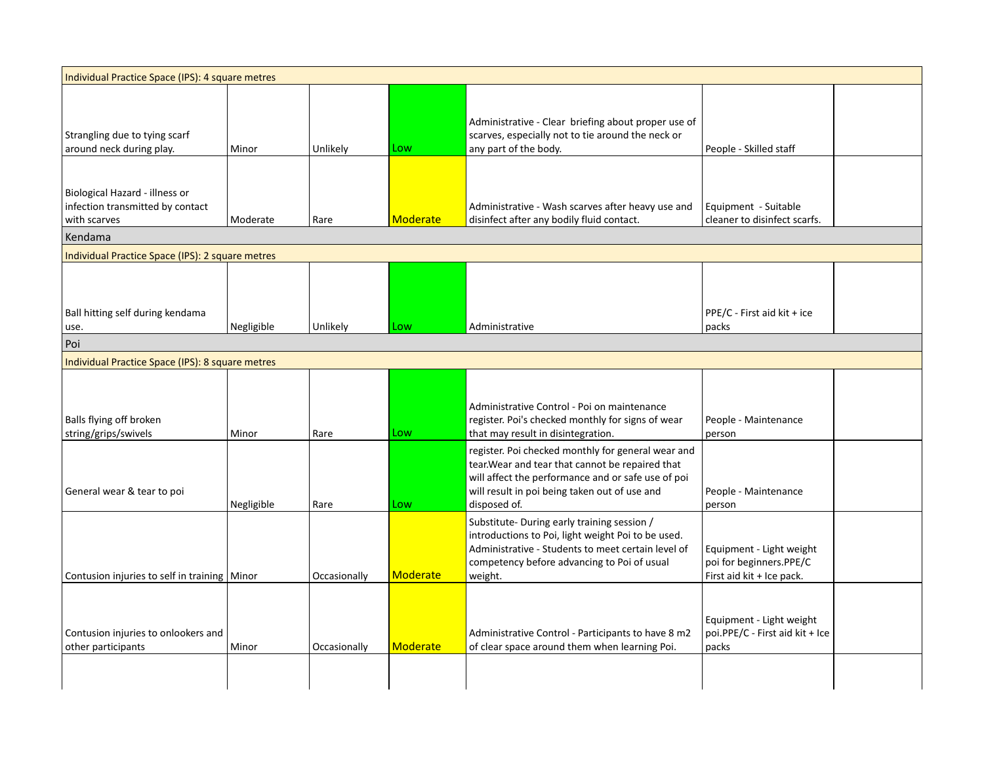| Individual Practice Space (IPS): 4 square metres                                              |            |              |          |                                                                                                                                                                                                                               |                                                                                  |  |
|-----------------------------------------------------------------------------------------------|------------|--------------|----------|-------------------------------------------------------------------------------------------------------------------------------------------------------------------------------------------------------------------------------|----------------------------------------------------------------------------------|--|
| Strangling due to tying scarf<br>around neck during play.                                     | Minor      | Unlikely     | Low      | Administrative - Clear briefing about proper use of<br>scarves, especially not to tie around the neck or<br>any part of the body.                                                                                             | People - Skilled staff                                                           |  |
| Biological Hazard - illness or<br>infection transmitted by contact<br>with scarves<br>Kendama | Moderate   | Rare         | Moderate | Administrative - Wash scarves after heavy use and<br>disinfect after any bodily fluid contact.                                                                                                                                | Equipment - Suitable<br>cleaner to disinfect scarfs.                             |  |
| Individual Practice Space (IPS): 2 square metres                                              |            |              |          |                                                                                                                                                                                                                               |                                                                                  |  |
| Ball hitting self during kendama<br>use.                                                      | Negligible | Unlikely     | Low      | Administrative                                                                                                                                                                                                                | PPE/C - First aid kit + ice<br>packs                                             |  |
| Poi                                                                                           |            |              |          |                                                                                                                                                                                                                               |                                                                                  |  |
| Individual Practice Space (IPS): 8 square metres                                              |            |              |          |                                                                                                                                                                                                                               |                                                                                  |  |
| Balls flying off broken<br>string/grips/swivels                                               | Minor      | Rare         | Low      | Administrative Control - Poi on maintenance<br>register. Poi's checked monthly for signs of wear<br>that may result in disintegration.                                                                                        | People - Maintenance<br>person                                                   |  |
| General wear & tear to poi                                                                    | Negligible | Rare         | Low      | register. Poi checked monthly for general wear and<br>tear. Wear and tear that cannot be repaired that<br>will affect the performance and or safe use of poi<br>will result in poi being taken out of use and<br>disposed of. | People - Maintenance<br>person                                                   |  |
| Contusion injuries to self in training   Minor                                                |            | Occasionally | Moderate | Substitute-During early training session /<br>introductions to Poi, light weight Poi to be used.<br>Administrative - Students to meet certain level of<br>competency before advancing to Poi of usual<br>weight.              | Equipment - Light weight<br>poi for beginners.PPE/C<br>First aid kit + Ice pack. |  |
| Contusion injuries to onlookers and<br>other participants                                     | Minor      | Occasionally | Moderate | Administrative Control - Participants to have 8 m2<br>of clear space around them when learning Poi.                                                                                                                           | Equipment - Light weight<br>poi.PPE/C - First aid kit + Ice<br>packs             |  |
|                                                                                               |            |              |          |                                                                                                                                                                                                                               |                                                                                  |  |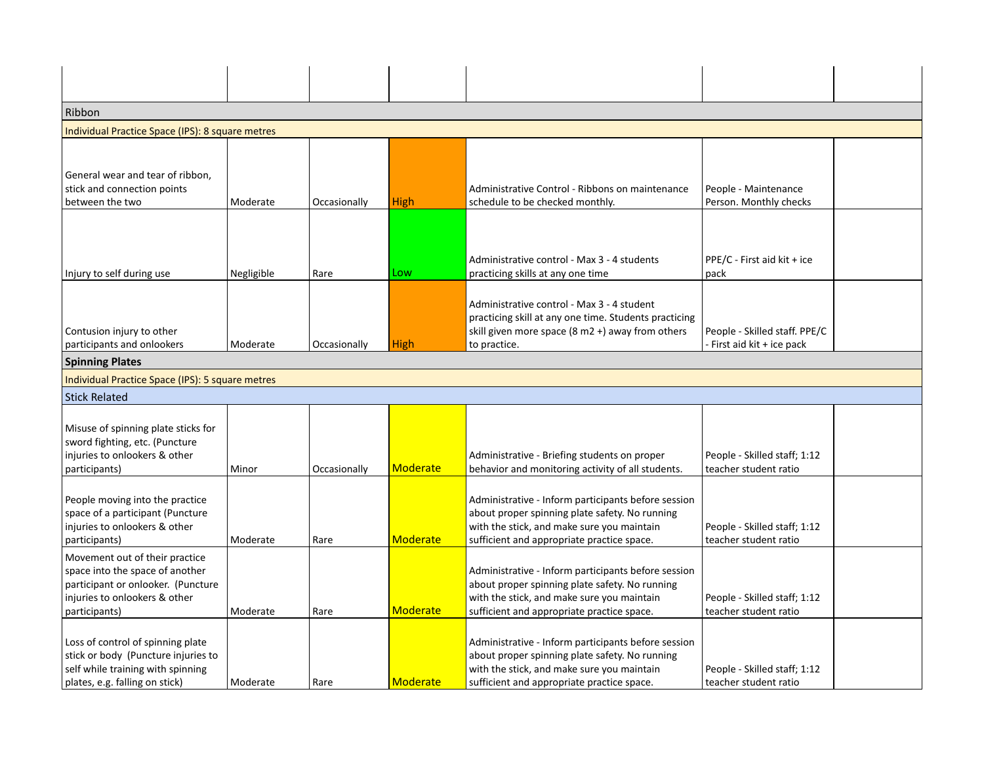| Ribbon                                                                                                                                                    |            |              |                 |                                                                                                                                                                                                   |                                                           |  |
|-----------------------------------------------------------------------------------------------------------------------------------------------------------|------------|--------------|-----------------|---------------------------------------------------------------------------------------------------------------------------------------------------------------------------------------------------|-----------------------------------------------------------|--|
| Individual Practice Space (IPS): 8 square metres                                                                                                          |            |              |                 |                                                                                                                                                                                                   |                                                           |  |
|                                                                                                                                                           |            |              |                 |                                                                                                                                                                                                   |                                                           |  |
| General wear and tear of ribbon,<br>stick and connection points<br>between the two                                                                        | Moderate   | Occasionally | <b>High</b>     | Administrative Control - Ribbons on maintenance<br>schedule to be checked monthly.                                                                                                                | People - Maintenance<br>Person. Monthly checks            |  |
| Injury to self during use                                                                                                                                 | Negligible | Rare         | Low             | Administrative control - Max 3 - 4 students<br>practicing skills at any one time                                                                                                                  | PPE/C - First aid kit + ice<br>pack                       |  |
| Contusion injury to other<br>participants and onlookers                                                                                                   | Moderate   | Occasionally | <b>High</b>     | Administrative control - Max 3 - 4 student<br>practicing skill at any one time. Students practicing<br>skill given more space $(8 \text{ m2 } +)$ away from others<br>to practice.                | People - Skilled staff. PPE/C<br>First aid kit + ice pack |  |
| <b>Spinning Plates</b>                                                                                                                                    |            |              |                 |                                                                                                                                                                                                   |                                                           |  |
| Individual Practice Space (IPS): 5 square metres                                                                                                          |            |              |                 |                                                                                                                                                                                                   |                                                           |  |
| <b>Stick Related</b>                                                                                                                                      |            |              |                 |                                                                                                                                                                                                   |                                                           |  |
| Misuse of spinning plate sticks for<br>sword fighting, etc. (Puncture<br>injuries to onlookers & other<br>participants)                                   | Minor      | Occasionally | Moderate        | Administrative - Briefing students on proper<br>behavior and monitoring activity of all students.                                                                                                 | People - Skilled staff; 1:12<br>teacher student ratio     |  |
| People moving into the practice<br>space of a participant (Puncture<br>injuries to onlookers & other<br>participants)                                     | Moderate   | Rare         | <b>Moderate</b> | Administrative - Inform participants before session<br>about proper spinning plate safety. No running<br>with the stick, and make sure you maintain<br>sufficient and appropriate practice space. | People - Skilled staff; 1:12<br>teacher student ratio     |  |
| Movement out of their practice<br>space into the space of another<br>participant or onlooker. (Puncture<br>injuries to onlookers & other<br>participants) | Moderate   | Rare         | <b>Moderate</b> | Administrative - Inform participants before session<br>about proper spinning plate safety. No running<br>with the stick, and make sure you maintain<br>sufficient and appropriate practice space. | People - Skilled staff; 1:12<br>teacher student ratio     |  |
| Loss of control of spinning plate<br>stick or body (Puncture injuries to<br>self while training with spinning<br>plates, e.g. falling on stick)           | Moderate   | Rare         | Moderate        | Administrative - Inform participants before session<br>about proper spinning plate safety. No running<br>with the stick, and make sure you maintain<br>sufficient and appropriate practice space. | People - Skilled staff; 1:12<br>teacher student ratio     |  |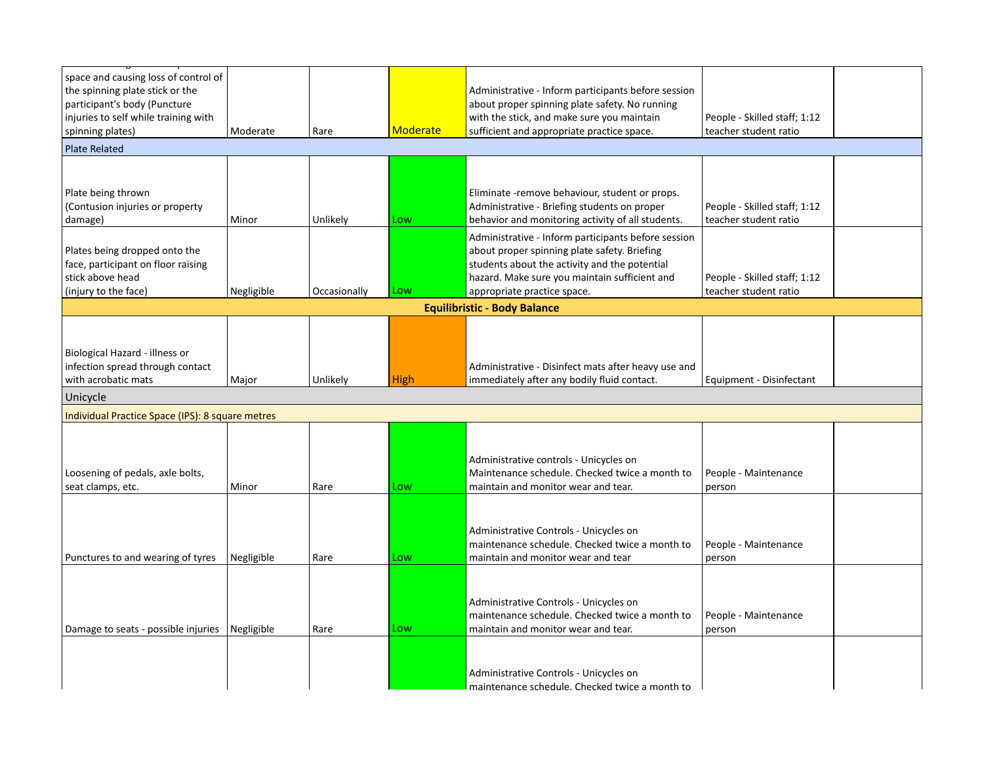| space and causing loss of control of<br>the spinning plate stick or the<br>participant's body (Puncture<br>injuries to self while training with<br>spinning plates) | Moderate   | Rare         | <b>Moderate</b> | Administrative - Inform participants before session<br>about proper spinning plate safety. No running<br>with the stick, and make sure you maintain<br>sufficient and appropriate practice space.                                    | People - Skilled staff; 1:12<br>teacher student ratio |
|---------------------------------------------------------------------------------------------------------------------------------------------------------------------|------------|--------------|-----------------|--------------------------------------------------------------------------------------------------------------------------------------------------------------------------------------------------------------------------------------|-------------------------------------------------------|
| <b>Plate Related</b>                                                                                                                                                |            |              |                 |                                                                                                                                                                                                                                      |                                                       |
|                                                                                                                                                                     |            |              |                 |                                                                                                                                                                                                                                      |                                                       |
| Plate being thrown<br>(Contusion injuries or property<br>damage)                                                                                                    | Minor      | Unlikely     | Low             | Eliminate - remove behaviour, student or props.<br>Administrative - Briefing students on proper<br>behavior and monitoring activity of all students.                                                                                 | People - Skilled staff; 1:12<br>teacher student ratio |
| Plates being dropped onto the<br>face, participant on floor raising<br>stick above head<br>(injury to the face)                                                     | Negligible | Occasionally | Low             | Administrative - Inform participants before session<br>about proper spinning plate safety. Briefing<br>students about the activity and the potential<br>hazard. Make sure you maintain sufficient and<br>appropriate practice space. | People - Skilled staff; 1:12<br>teacher student ratio |
|                                                                                                                                                                     |            |              |                 | <b>Equilibristic - Body Balance</b>                                                                                                                                                                                                  |                                                       |
| Biological Hazard - illness or<br>infection spread through contact<br>with acrobatic mats                                                                           | Major      | Unlikely     | <b>High</b>     | Administrative - Disinfect mats after heavy use and<br>immediately after any bodily fluid contact.                                                                                                                                   | Equipment - Disinfectant                              |
| Unicycle                                                                                                                                                            |            |              |                 |                                                                                                                                                                                                                                      |                                                       |
| Individual Practice Space (IPS): 8 square metres                                                                                                                    |            |              |                 |                                                                                                                                                                                                                                      |                                                       |
| Loosening of pedals, axle bolts,<br>seat clamps, etc.                                                                                                               | Minor      | Rare         | Low             | Administrative controls - Unicycles on<br>Maintenance schedule. Checked twice a month to<br>maintain and monitor wear and tear.                                                                                                      | People - Maintenance<br>person                        |
| Punctures to and wearing of tyres                                                                                                                                   | Negligible | Rare         | Low             | Administrative Controls - Unicycles on<br>maintenance schedule. Checked twice a month to<br>maintain and monitor wear and tear                                                                                                       | People - Maintenance<br>person                        |
| Damage to seats - possible injuries                                                                                                                                 | Negligible | Rare         | Low             | Administrative Controls - Unicycles on<br>maintenance schedule. Checked twice a month to<br>maintain and monitor wear and tear.                                                                                                      | People - Maintenance<br>person                        |
|                                                                                                                                                                     |            |              |                 | Administrative Controls - Unicycles on<br>maintenance schedule. Checked twice a month to                                                                                                                                             |                                                       |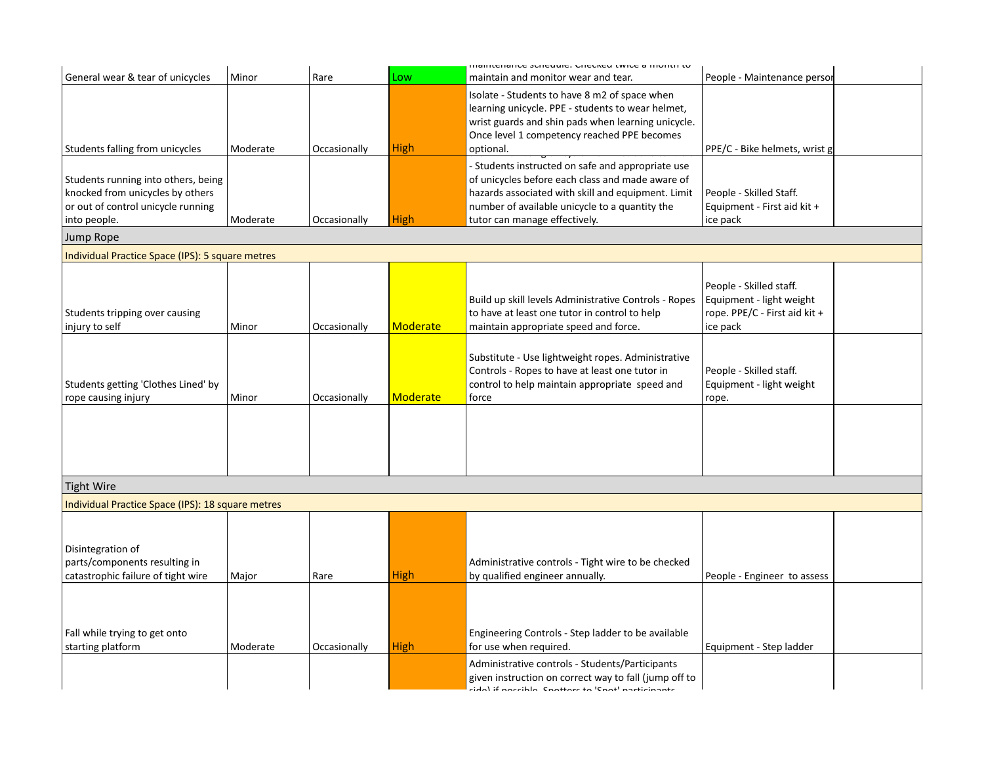|                                                                                                                               |          |              |             | ווומווונכוומוונכ אנווכעעוכ. כווכנוגכע נשונכ מ וווטוונוו נט                                                                                                                                                           |                                                                                                  |
|-------------------------------------------------------------------------------------------------------------------------------|----------|--------------|-------------|----------------------------------------------------------------------------------------------------------------------------------------------------------------------------------------------------------------------|--------------------------------------------------------------------------------------------------|
| General wear & tear of unicycles                                                                                              | Minor    | Rare         | Low         | maintain and monitor wear and tear.                                                                                                                                                                                  | People - Maintenance persor                                                                      |
| Students falling from unicycles                                                                                               | Moderate | Occasionally | High        | Isolate - Students to have 8 m2 of space when<br>learning unicycle. PPE - students to wear helmet,<br>wrist guards and shin pads when learning unicycle.<br>Once level 1 competency reached PPE becomes<br>optional. | PPE/C - Bike helmets, wrist g                                                                    |
|                                                                                                                               |          |              |             | - Students instructed on safe and appropriate use                                                                                                                                                                    |                                                                                                  |
| Students running into others, being<br>knocked from unicycles by others<br>or out of control unicycle running<br>into people. | Moderate | Occasionally | High        | of unicycles before each class and made aware of<br>hazards associated with skill and equipment. Limit<br>number of available unicycle to a quantity the<br>tutor can manage effectively.                            | People - Skilled Staff.<br>Equipment - First aid kit +<br>ice pack                               |
| Jump Rope                                                                                                                     |          |              |             |                                                                                                                                                                                                                      |                                                                                                  |
| Individual Practice Space (IPS): 5 square metres                                                                              |          |              |             |                                                                                                                                                                                                                      |                                                                                                  |
| Students tripping over causing<br>injury to self                                                                              | Minor    | Occasionally | Moderate    | Build up skill levels Administrative Controls - Ropes<br>to have at least one tutor in control to help<br>maintain appropriate speed and force.                                                                      | People - Skilled staff.<br>Equipment - light weight<br>rope. PPE/C - First aid kit +<br>ice pack |
| Students getting 'Clothes Lined' by<br>rope causing injury                                                                    | Minor    | Occasionally | Moderate    | Substitute - Use lightweight ropes. Administrative<br>Controls - Ropes to have at least one tutor in<br>control to help maintain appropriate speed and<br>force                                                      | People - Skilled staff.<br>Equipment - light weight<br>rope.                                     |
|                                                                                                                               |          |              |             |                                                                                                                                                                                                                      |                                                                                                  |
| <b>Tight Wire</b>                                                                                                             |          |              |             |                                                                                                                                                                                                                      |                                                                                                  |
| Individual Practice Space (IPS): 18 square metres                                                                             |          |              |             |                                                                                                                                                                                                                      |                                                                                                  |
| Disintegration of<br>parts/components resulting in<br>catastrophic failure of tight wire                                      | Major    | Rare         | <b>High</b> | Administrative controls - Tight wire to be checked<br>by qualified engineer annually.                                                                                                                                | People - Engineer to assess                                                                      |
| Fall while trying to get onto<br>starting platform                                                                            | Moderate | Occasionally | <b>High</b> | Engineering Controls - Step ladder to be available<br>for use when required.                                                                                                                                         | Equipment - Step ladder                                                                          |
|                                                                                                                               |          |              |             | Administrative controls - Students/Participants<br>given instruction on correct way to fall (jump off to<br>مغممماماعتمم اعمما أأمه متمعهمته المامانية الماماء                                                       |                                                                                                  |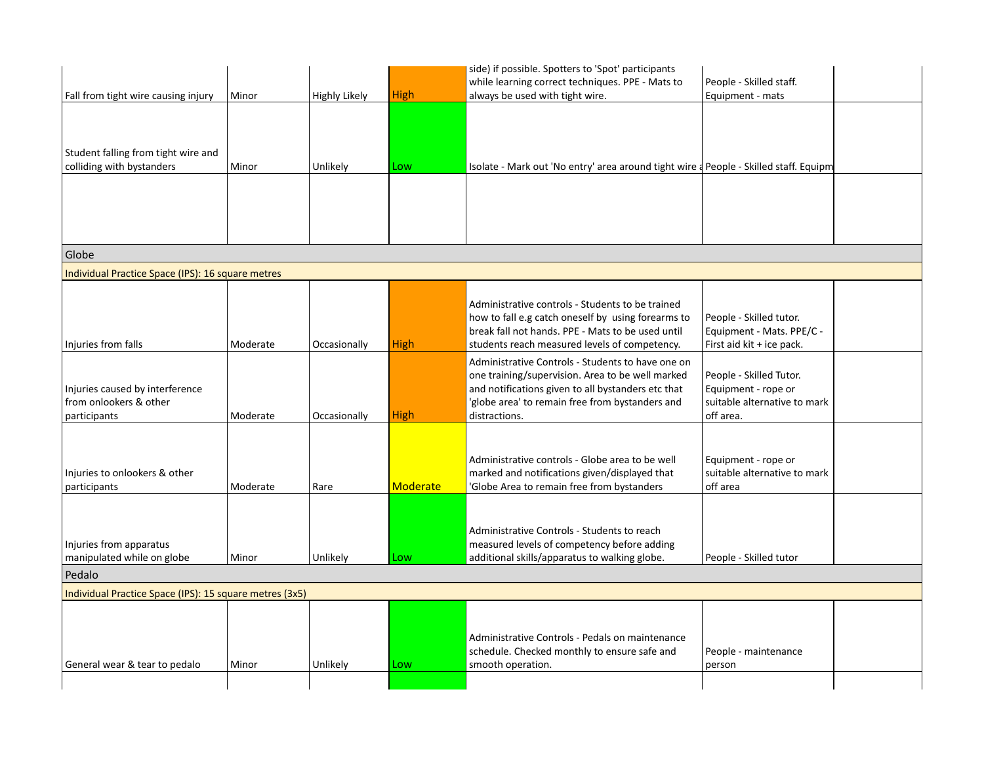|                                                                           |          |                      |                 | side) if possible. Spotters to 'Spot' participants                                                                                                                                                                              |                                                                                             |  |
|---------------------------------------------------------------------------|----------|----------------------|-----------------|---------------------------------------------------------------------------------------------------------------------------------------------------------------------------------------------------------------------------------|---------------------------------------------------------------------------------------------|--|
|                                                                           |          |                      |                 | while learning correct techniques. PPE - Mats to                                                                                                                                                                                | People - Skilled staff.                                                                     |  |
| Fall from tight wire causing injury                                       | Minor    | <b>Highly Likely</b> | <b>High</b>     | always be used with tight wire.                                                                                                                                                                                                 | Equipment - mats                                                                            |  |
|                                                                           |          |                      |                 |                                                                                                                                                                                                                                 |                                                                                             |  |
| Student falling from tight wire and<br>colliding with bystanders          |          |                      |                 |                                                                                                                                                                                                                                 |                                                                                             |  |
|                                                                           | Minor    | Unlikely             | Low             | Isolate - Mark out 'No entry' area around tight wire a People - Skilled staff. Equipm                                                                                                                                           |                                                                                             |  |
|                                                                           |          |                      |                 |                                                                                                                                                                                                                                 |                                                                                             |  |
| Globe                                                                     |          |                      |                 |                                                                                                                                                                                                                                 |                                                                                             |  |
| Individual Practice Space (IPS): 16 square metres                         |          |                      |                 |                                                                                                                                                                                                                                 |                                                                                             |  |
| Injuries from falls                                                       | Moderate | Occasionally         | <b>High</b>     | Administrative controls - Students to be trained<br>how to fall e.g catch oneself by using forearms to<br>break fall not hands. PPE - Mats to be used until<br>students reach measured levels of competency.                    | People - Skilled tutor.<br>Equipment - Mats. PPE/C -<br>First aid kit + ice pack.           |  |
| Injuries caused by interference<br>from onlookers & other<br>participants | Moderate | Occasionally         | <b>High</b>     | Administrative Controls - Students to have one on<br>one training/supervision. Area to be well marked<br>and notifications given to all bystanders etc that<br>'globe area' to remain free from bystanders and<br>distractions. | People - Skilled Tutor.<br>Equipment - rope or<br>suitable alternative to mark<br>off area. |  |
| Injuries to onlookers & other<br>participants                             | Moderate | Rare                 | <b>Moderate</b> | Administrative controls - Globe area to be well<br>marked and notifications given/displayed that<br>'Globe Area to remain free from bystanders                                                                                  | Equipment - rope or<br>suitable alternative to mark<br>off area                             |  |
| Injuries from apparatus<br>manipulated while on globe                     | Minor    | Unlikely             | Low             | Administrative Controls - Students to reach<br>measured levels of competency before adding<br>additional skills/apparatus to walking globe.                                                                                     | People - Skilled tutor                                                                      |  |
| Pedalo                                                                    |          |                      |                 |                                                                                                                                                                                                                                 |                                                                                             |  |
| Individual Practice Space (IPS): 15 square metres (3x5)                   |          |                      |                 |                                                                                                                                                                                                                                 |                                                                                             |  |
| General wear & tear to pedalo                                             | Minor    | Unlikely             | Low             | Administrative Controls - Pedals on maintenance<br>schedule. Checked monthly to ensure safe and<br>smooth operation.                                                                                                            | People - maintenance<br>person                                                              |  |
|                                                                           |          |                      |                 |                                                                                                                                                                                                                                 |                                                                                             |  |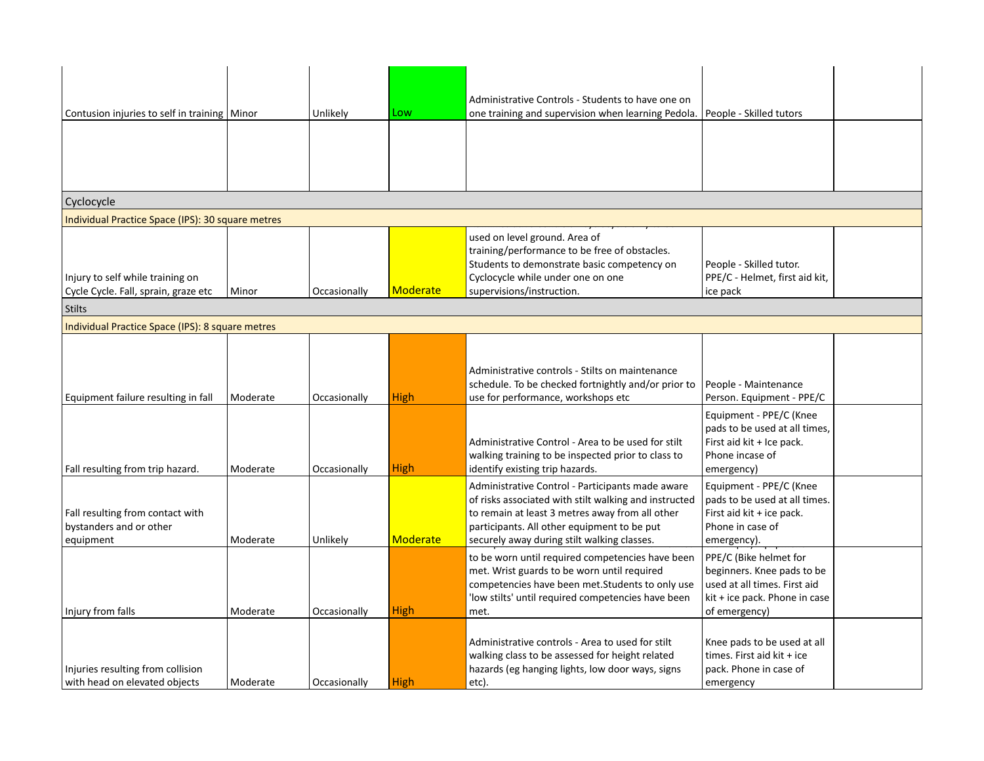| Contusion injuries to self in training   Minor    |          | Unlikely     | Low             | Administrative Controls - Students to have one on<br>one training and supervision when learning Pedola. | People - Skilled tutors                                  |  |
|---------------------------------------------------|----------|--------------|-----------------|---------------------------------------------------------------------------------------------------------|----------------------------------------------------------|--|
|                                                   |          |              |                 |                                                                                                         |                                                          |  |
|                                                   |          |              |                 |                                                                                                         |                                                          |  |
|                                                   |          |              |                 |                                                                                                         |                                                          |  |
|                                                   |          |              |                 |                                                                                                         |                                                          |  |
| Cyclocycle                                        |          |              |                 |                                                                                                         |                                                          |  |
| Individual Practice Space (IPS): 30 square metres |          |              |                 |                                                                                                         |                                                          |  |
|                                                   |          |              |                 | used on level ground. Area of                                                                           |                                                          |  |
|                                                   |          |              |                 | training/performance to be free of obstacles.                                                           |                                                          |  |
|                                                   |          |              |                 | Students to demonstrate basic competency on                                                             | People - Skilled tutor.                                  |  |
| Injury to self while training on                  |          |              |                 | Cyclocycle while under one on one                                                                       | PPE/C - Helmet, first aid kit,                           |  |
| Cycle Cycle. Fall, sprain, graze etc              | Minor    | Occasionally | <b>Moderate</b> | supervisions/instruction.                                                                               | ice pack                                                 |  |
| <b>Stilts</b>                                     |          |              |                 |                                                                                                         |                                                          |  |
| Individual Practice Space (IPS): 8 square metres  |          |              |                 |                                                                                                         |                                                          |  |
|                                                   |          |              |                 |                                                                                                         |                                                          |  |
|                                                   |          |              |                 |                                                                                                         |                                                          |  |
|                                                   |          |              |                 | Administrative controls - Stilts on maintenance                                                         |                                                          |  |
|                                                   |          |              | <b>High</b>     | schedule. To be checked fortnightly and/or prior to                                                     | People - Maintenance                                     |  |
| Equipment failure resulting in fall               | Moderate | Occasionally |                 | use for performance, workshops etc                                                                      | Person. Equipment - PPE/C                                |  |
|                                                   |          |              |                 |                                                                                                         | Equipment - PPE/C (Knee<br>pads to be used at all times, |  |
|                                                   |          |              |                 | Administrative Control - Area to be used for stilt                                                      | First aid kit + Ice pack.                                |  |
|                                                   |          |              |                 | walking training to be inspected prior to class to                                                      | Phone incase of                                          |  |
| Fall resulting from trip hazard.                  | Moderate | Occasionally | <b>High</b>     | identify existing trip hazards.                                                                         | emergency)                                               |  |
|                                                   |          |              |                 | Administrative Control - Participants made aware                                                        | Equipment - PPE/C (Knee                                  |  |
|                                                   |          |              |                 | of risks associated with stilt walking and instructed                                                   | pads to be used at all times.                            |  |
| Fall resulting from contact with                  |          |              |                 | to remain at least 3 metres away from all other                                                         | First aid kit + ice pack.                                |  |
| bystanders and or other                           |          |              |                 | participants. All other equipment to be put                                                             | Phone in case of                                         |  |
| equipment                                         | Moderate | Unlikely     | Moderate        | securely away during stilt walking classes.                                                             | emergency).                                              |  |
|                                                   |          |              |                 | to be worn until required competencies have been                                                        | PPE/C (Bike helmet for                                   |  |
|                                                   |          |              |                 | met. Wrist guards to be worn until required                                                             | beginners. Knee pads to be                               |  |
|                                                   |          |              |                 | competencies have been met. Students to only use                                                        | used at all times. First aid                             |  |
| Injury from falls                                 | Moderate | Occasionally | <b>High</b>     | 'low stilts' until required competencies have been<br>met.                                              | kit + ice pack. Phone in case<br>of emergency)           |  |
|                                                   |          |              |                 |                                                                                                         |                                                          |  |
|                                                   |          |              |                 | Administrative controls - Area to used for stilt                                                        | Knee pads to be used at all                              |  |
|                                                   |          |              |                 | walking class to be assessed for height related                                                         | times. First aid kit + ice                               |  |
| Injuries resulting from collision                 |          |              |                 | hazards (eg hanging lights, low door ways, signs                                                        | pack. Phone in case of                                   |  |
| with head on elevated objects                     | Moderate | Occasionally | <b>High</b>     | etc).                                                                                                   | emergency                                                |  |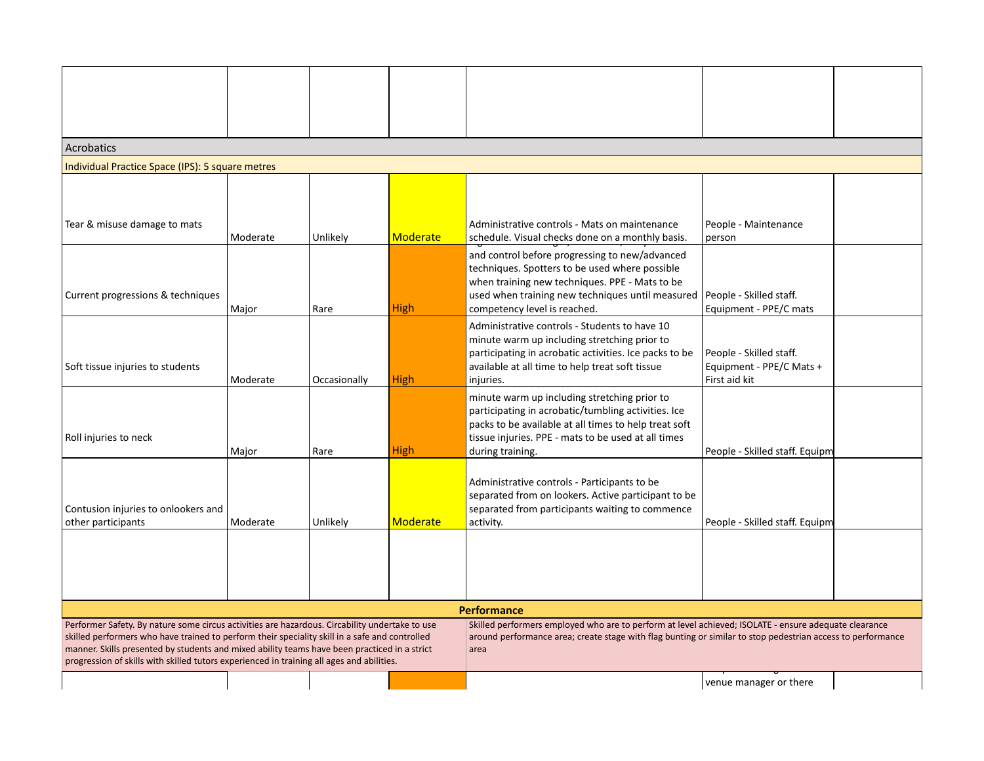| Acrobatics                                                                                                                                                                                                                                                                                                                                                                                    |          |              |             |                                                                                                                                                                                                                                         |                                                                      |  |
|-----------------------------------------------------------------------------------------------------------------------------------------------------------------------------------------------------------------------------------------------------------------------------------------------------------------------------------------------------------------------------------------------|----------|--------------|-------------|-----------------------------------------------------------------------------------------------------------------------------------------------------------------------------------------------------------------------------------------|----------------------------------------------------------------------|--|
| Individual Practice Space (IPS): 5 square metres                                                                                                                                                                                                                                                                                                                                              |          |              |             |                                                                                                                                                                                                                                         |                                                                      |  |
|                                                                                                                                                                                                                                                                                                                                                                                               |          |              |             |                                                                                                                                                                                                                                         |                                                                      |  |
| Tear & misuse damage to mats                                                                                                                                                                                                                                                                                                                                                                  | Moderate | Unlikely     | Moderate    | Administrative controls - Mats on maintenance<br>schedule. Visual checks done on a monthly basis.                                                                                                                                       | People - Maintenance<br>person                                       |  |
| Current progressions & techniques                                                                                                                                                                                                                                                                                                                                                             | Major    | Rare         | <b>High</b> | and control before progressing to new/advanced<br>techniques. Spotters to be used where possible<br>when training new techniques. PPE - Mats to be<br>used when training new techniques until measured<br>competency level is reached.  | People - Skilled staff.<br>Equipment - PPE/C mats                    |  |
| Soft tissue injuries to students                                                                                                                                                                                                                                                                                                                                                              | Moderate | Occasionally | <b>High</b> | Administrative controls - Students to have 10<br>minute warm up including stretching prior to<br>participating in acrobatic activities. Ice packs to be<br>available at all time to help treat soft tissue<br>injuries.                 | People - Skilled staff.<br>Equipment - PPE/C Mats +<br>First aid kit |  |
| Roll injuries to neck                                                                                                                                                                                                                                                                                                                                                                         | Major    | Rare         | <b>High</b> | minute warm up including stretching prior to<br>participating in acrobatic/tumbling activities. Ice<br>packs to be available at all times to help treat soft<br>tissue injuries. PPE - mats to be used at all times<br>during training. | People - Skilled staff. Equipm                                       |  |
| Contusion injuries to onlookers and<br>other participants                                                                                                                                                                                                                                                                                                                                     | Moderate | Unlikely     | Moderate    | Administrative controls - Participants to be<br>separated from on lookers. Active participant to be<br>separated from participants waiting to commence<br>activity.                                                                     | People - Skilled staff. Equipm                                       |  |
|                                                                                                                                                                                                                                                                                                                                                                                               |          |              |             |                                                                                                                                                                                                                                         |                                                                      |  |
|                                                                                                                                                                                                                                                                                                                                                                                               |          |              |             | <b>Performance</b>                                                                                                                                                                                                                      |                                                                      |  |
| Performer Safety. By nature some circus activities are hazardous. Circability undertake to use<br>skilled performers who have trained to perform their speciality skill in a safe and controlled<br>manner. Skills presented by students and mixed ability teams have been practiced in a strict<br>progression of skills with skilled tutors experienced in training all ages and abilities. |          |              |             | Skilled performers employed who are to perform at level achieved; ISOLATE - ensure adequate clearance<br>around performance area; create stage with flag bunting or similar to stop pedestrian access to performance<br>area            |                                                                      |  |
|                                                                                                                                                                                                                                                                                                                                                                                               |          |              |             |                                                                                                                                                                                                                                         | venue manager or there                                               |  |